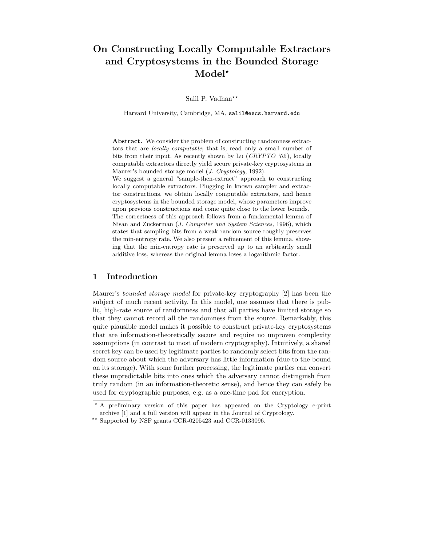# On Constructing Locally Computable Extractors and Cryptosystems in the Bounded Storage Model\*

Salil P. Vadhan\*\*

Harvard University, Cambridge, MA, salil@eecs.harvard.edu

Abstract. We consider the problem of constructing randomness extractors that are locally computable; that is, read only a small number of bits from their input. As recently shown by Lu  $(CRYPTO \, 02)$ , locally computable extractors directly yield secure private-key cryptosystems in Maurer's bounded storage model (J. Cryptology, 1992).

We suggest a general "sample-then-extract" approach to constructing locally computable extractors. Plugging in known sampler and extractor constructions, we obtain locally computable extractors, and hence cryptosystems in the bounded storage model, whose parameters improve upon previous constructions and come quite close to the lower bounds. The correctness of this approach follows from a fundamental lemma of Nisan and Zuckerman (J. Computer and System Sciences, 1996), which states that sampling bits from a weak random source roughly preserves the min-entropy rate. We also present a refinement of this lemma, showing that the min-entropy rate is preserved up to an arbitrarily small additive loss, whereas the original lemma loses a logarithmic factor.

## 1 Introduction

Maurer's bounded storage model for private-key cryptography [2] has been the subject of much recent activity. In this model, one assumes that there is public, high-rate source of randomness and that all parties have limited storage so that they cannot record all the randomness from the source. Remarkably, this quite plausible model makes it possible to construct private-key cryptosystems that are information-theoretically secure and require no unproven complexity assumptions (in contrast to most of modern cryptography). Intuitively, a shared secret key can be used by legitimate parties to randomly select bits from the random source about which the adversary has little information (due to the bound on its storage). With some further processing, the legitimate parties can convert these unpredictable bits into ones which the adversary cannot distinguish from truly random (in an information-theoretic sense), and hence they can safely be used for cryptographic purposes, e.g. as a one-time pad for encryption.

<sup>?</sup> A preliminary version of this paper has appeared on the Cryptology e-print archive [1] and a full version will appear in the Journal of Cryptology.

<sup>\*\*</sup> Supported by NSF grants CCR-0205423 and CCR-0133096.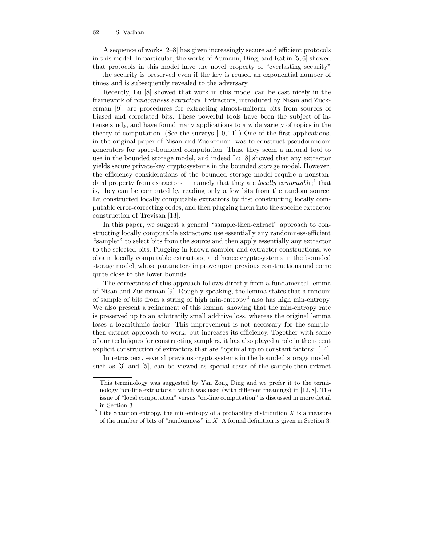A sequence of works [2–8] has given increasingly secure and efficient protocols in this model. In particular, the works of Aumann, Ding, and Rabin [5, 6] showed that protocols in this model have the novel property of "everlasting security" — the security is preserved even if the key is reused an exponential number of times and is subsequently revealed to the adversary.

Recently, Lu [8] showed that work in this model can be cast nicely in the framework of randomness extractors. Extractors, introduced by Nisan and Zuckerman [9], are procedures for extracting almost-uniform bits from sources of biased and correlated bits. These powerful tools have been the subject of intense study, and have found many applications to a wide variety of topics in the theory of computation. (See the surveys [10, 11].) One of the first applications, in the original paper of Nisan and Zuckerman, was to construct pseudorandom generators for space-bounded computation. Thus, they seem a natural tool to use in the bounded storage model, and indeed Lu [8] showed that any extractor yields secure private-key cryptosystems in the bounded storage model. However, the efficiency considerations of the bounded storage model require a nonstandard property from extractors — namely that they are *locally computable*;<sup>1</sup> that is, they can be computed by reading only a few bits from the random source. Lu constructed locally computable extractors by first constructing locally computable error-correcting codes, and then plugging them into the specific extractor construction of Trevisan [13].

In this paper, we suggest a general "sample-then-extract" approach to constructing locally computable extractors: use essentially any randomness-efficient "sampler" to select bits from the source and then apply essentially any extractor to the selected bits. Plugging in known sampler and extractor constructions, we obtain locally computable extractors, and hence cryptosystems in the bounded storage model, whose parameters improve upon previous constructions and come quite close to the lower bounds.

The correctness of this approach follows directly from a fundamental lemma of Nisan and Zuckerman [9]. Roughly speaking, the lemma states that a random of sample of bits from a string of high min-entropy <sup>2</sup> also has high min-entropy. We also present a refinement of this lemma, showing that the min-entropy rate is preserved up to an arbitrarily small additive loss, whereas the original lemma loses a logarithmic factor. This improvement is not necessary for the samplethen-extract approach to work, but increases its efficiency. Together with some of our techniques for constructing samplers, it has also played a role in the recent explicit construction of extractors that are "optimal up to constant factors" [14].

In retrospect, several previous cryptosystems in the bounded storage model, such as [3] and [5], can be viewed as special cases of the sample-then-extract

<sup>&</sup>lt;sup>1</sup> This terminology was suggested by Yan Zong Ding and we prefer it to the terminology "on-line extractors," which was used (with different meanings) in [12, 8]. The issue of "local computation" versus "on-line computation" is discussed in more detail in Section 3.

<sup>&</sup>lt;sup>2</sup> Like Shannon entropy, the min-entropy of a probability distribution  $X$  is a measure of the number of bits of "randomness" in  $X$ . A formal definition is given in Section 3.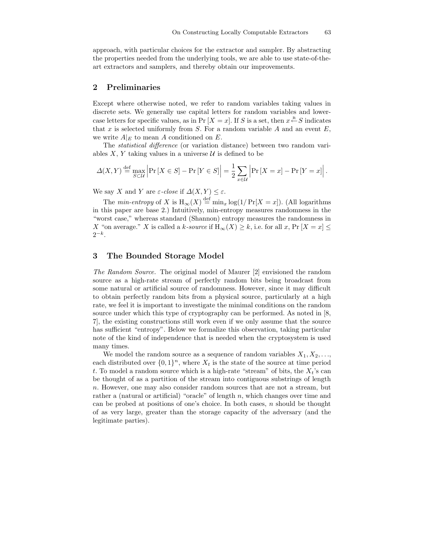approach, with particular choices for the extractor and sampler. By abstracting the properties needed from the underlying tools, we are able to use state-of-theart extractors and samplers, and thereby obtain our improvements.

# 2 Preliminaries

Except where otherwise noted, we refer to random variables taking values in discrete sets. We generally use capital letters for random variables and lowercase letters for specific values, as in Pr  $[X = x]$ . If S is a set, then  $x \stackrel{\text{R}}{\leftarrow} S$  indicates that x is selected uniformly from  $S$ . For a random variable  $A$  and an event  $E$ , we write  $A|_E$  to mean A conditioned on E.

The statistical difference (or variation distance) between two random variables X, Y taking values in a universe  $\mathcal U$  is defined to be

$$
\Delta(X,Y) \stackrel{\text{def}}{=} \max_{S \subset \mathcal{U}} \left| \Pr\left[X \in S\right] - \Pr\left[Y \in S\right] \right| = \frac{1}{2} \sum_{x \in \mathcal{U}} \left| \Pr\left[X = x\right] - \Pr\left[Y = x\right] \right|.
$$

We say X and Y are  $\varepsilon$ -close if  $\Delta(X, Y) \leq \varepsilon$ .

The *min-entropy* of X is  $H_{\infty}(X) \stackrel{\text{def}}{=} \min_x \log(1/\Pr[X = x])$ . (All logarithms in this paper are base 2.) Intuitively, min-entropy measures randomness in the "worst case," whereas standard (Shannon) entropy measures the randomness in X "on average." X is called a k-source if  $H_{\infty}(X) \geq k$ , i.e. for all x, Pr  $[X = x] \leq$  $2^{-k}$ .

# 3 The Bounded Storage Model

The Random Source. The original model of Maurer [2] envisioned the random source as a high-rate stream of perfectly random bits being broadcast from some natural or artificial source of randomness. However, since it may difficult to obtain perfectly random bits from a physical source, particularly at a high rate, we feel it is important to investigate the minimal conditions on the random source under which this type of cryptography can be performed. As noted in [8, 7], the existing constructions still work even if we only assume that the source has sufficient "entropy". Below we formalize this observation, taking particular note of the kind of independence that is needed when the cryptosystem is used many times.

We model the random source as a sequence of random variables  $X_1, X_2, \ldots$ , each distributed over  $\{0,1\}^n$ , where  $X_t$  is the state of the source at time period t. To model a random source which is a high-rate "stream" of bits, the  $X_t$ 's can be thought of as a partition of the stream into contiguous substrings of length n. However, one may also consider random sources that are not a stream, but rather a (natural or artificial) "oracle" of length  $n$ , which changes over time and can be probed at positions of one's choice. In both cases,  $n$  should be thought of as very large, greater than the storage capacity of the adversary (and the legitimate parties).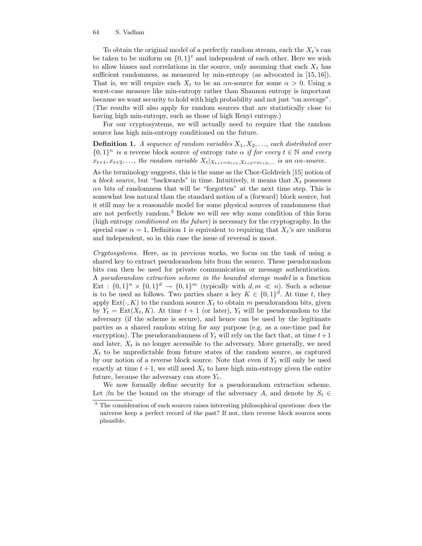To obtain the original model of a perfectly random stream, each the  $X_t$ 's can be taken to be uniform on  $\{0,1\}^t$  and independent of each other. Here we wish to allow biases and correlations in the source, only assuming that each  $X_t$  has sufficient randomness, as measured by min-entropy (as advocated in  $[15, 16]$ ). That is, we will require each  $X_t$  to be an  $\alpha n$ -source for some  $\alpha > 0$ . Using a worst-case measure like min-entropy rather than Shannon entropy is important because we want security to hold with high probability and not just "on average". (The results will also apply for random sources that are statistically close to having high min-entropy, such as those of high Renyi entropy.)

For our cryptosystems, we will actually need to require that the random source has high min-entropy conditioned on the future.

**Definition 1.** A sequence of random variables  $X_1, X_2, \ldots$ , each distributed over  $\{0,1\}^n$  is a reverse block source of entropy rate  $\alpha$  if for every  $t \in \mathbb{N}$  and every  $x_{t+1}, x_{t+2}, \ldots$ , the random variable  $X_t|_{X_{t+1}=x_{t+1}, X_{t+2}=x_{t+2}, \ldots}$  is an on-source.

As the terminology suggests, this is the same as the Chor-Goldreich [15] notion of a block source, but "backwards" in time. Intuitively, it means that  $X_t$  possesses αn bits of randomness that will be "forgotten" at the next time step. This is somewhat less natural than the standard notion of a (forward) block source, but it still may be a reasonable model for some physical sources of randomness that are not perfectly random.<sup>3</sup> Below we will see why some condition of this form (high entropy conditioned on the future) is necessary for the cryptography. In the special case  $\alpha = 1$ , Definition 1 is equivalent to requiring that  $X_t$ 's are uniform and independent, so in this case the issue of reversal is moot.

Cryptosystems. Here, as in previous works, we focus on the task of using a shared key to extract pseudorandom bits from the source. These pseudorandom bits can then be used for private communication or message authentication. A pseudorandom extraction scheme in the bounded storage model is a function Ext :  $\{0,1\}^n \times \{0,1\}^d \rightarrow \{0,1\}^m$  (typically with  $d, m \ll n$ ). Such a scheme is to be used as follows. Two parties share a key  $K \in \{0,1\}^d$ . At time t, they apply  $\text{Ext}(\cdot, K)$  to the random source  $X_t$  to obtain m pseudorandom bits, given by  $Y_t = \text{Ext}(X_t, K)$ . At time  $t + 1$  (or later),  $Y_t$  will be pseudorandom to the adversary (if the scheme is secure), and hence can be used by the legitimate parties as a shared random string for any purpose (e.g. as a one-time pad for encryption). The pseudorandomness of  $Y_t$  will rely on the fact that, at time  $t+1$ and later,  $X_t$  is no longer accessible to the adversary. More generally, we need  $X_t$  to be unpredictable from future states of the random source, as captured by our notion of a reverse block source. Note that even if  $Y_t$  will only be used exactly at time  $t + 1$ , we still need  $X_t$  to have high min-entropy given the entire future, because the adversary can store  $Y_t$ .

We now formally define security for a pseudorandom extraction scheme. Let  $\beta_n$  be the bound on the storage of the adversary A, and denote by  $S_t \in$ 

<sup>&</sup>lt;sup>3</sup> The consideration of such sources raises interesting philosophical questions: does the universe keep a perfect record of the past? If not, then reverse block sources seem plausible.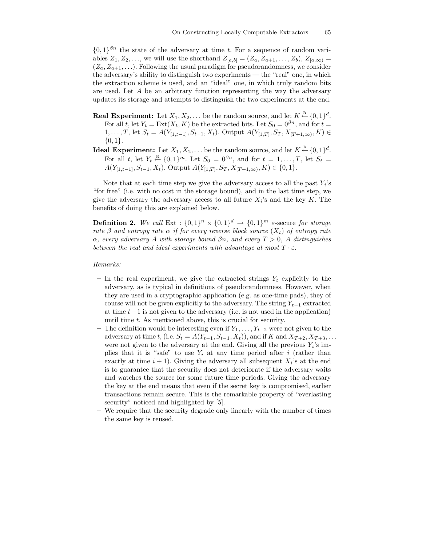$\{0,1\}^{\beta n}$  the state of the adversary at time t. For a sequence of random variables  $Z_1, Z_2, \ldots$ , we will use the shorthand  $Z_{[a,b]} = (Z_a, Z_{a+1}, \ldots, Z_b), Z_{[a,\infty)} =$  $(Z_a, Z_{a+1}, \ldots)$ . Following the usual paradigm for pseudorandomness, we consider the adversary's ability to distinguish two experiments — the "real" one, in which the extraction scheme is used, and an "ideal" one, in which truly random bits are used. Let A be an arbitrary function representing the way the adversary updates its storage and attempts to distinguish the two experiments at the end.

- **Real Experiment:** Let  $X_1, X_2, \ldots$  be the random source, and let  $K \stackrel{\text{R}}{\leftarrow} \{0, 1\}^d$ . For all t, let  $Y_t = \text{Ext}(X_t, K)$  be the extracted bits. Let  $S_0 = 0^{\beta n}$ , and for  $t =$ 1,..., T, let  $S_t = A(Y_{[1,t-1]}, S_{t-1}, X_t)$ . Output  $A(Y_{[1,T]}, S_T, X_{[T+1,\infty)}, K)$  ∈  ${0,1}.$
- **Ideal Experiment:** Let  $X_1, X_2, \ldots$  be the random source, and let  $K \stackrel{\text{R}}{\leftarrow} \{0, 1\}^d$ . For all t, let  $Y_t \stackrel{\text{R}}{\leftarrow} \{0,1\}^m$ . Let  $S_0 = 0^{\beta n}$ , and for  $t = 1, \ldots, T$ , let  $S_t =$  $A(Y_{[1,t-1]}, S_{t-1}, X_t)$ . Output  $A(Y_{[1,T]}, S_T, X_{[T+1,\infty)}, K) \in \{0,1\}$ .

Note that at each time step we give the adversary access to all the past  $Y_i$ 's "for free" (i.e. with no cost in the storage bound), and in the last time step, we give the adversary the adversary access to all future  $X_i$ 's and the key K. The benefits of doing this are explained below.

**Definition 2.** We call  $Ext : \{0,1\}^n \times \{0,1\}^d \rightarrow \{0,1\}^m$   $\varepsilon$ -secure for storage rate  $\beta$  and entropy rate  $\alpha$  if for every reverse block source  $(X_t)$  of entropy rate  $\alpha$ , every adversary A with storage bound  $\beta n$ , and every  $T > 0$ , A distinguishes between the real and ideal experiments with advantage at most  $T \cdot \varepsilon$ .

## Remarks:

- In the real experiment, we give the extracted strings  $Y_t$  explicitly to the adversary, as is typical in definitions of pseudorandomness. However, when they are used in a cryptographic application (e.g. as one-time pads), they of course will not be given explicitly to the adversary. The string  $Y_{t-1}$  extracted at time  $t-1$  is not given to the adversary (i.e. is not used in the application) until time t. As mentioned above, this is crucial for security.
- The definition would be interesting even if  $Y_1, \ldots, Y_{t-2}$  were not given to the adversary at time t, (i.e.  $S_t = A(Y_{t-1}, S_{t-1}, X_t)$ ), and if K and  $X_{T+2}, X_{T+3}, \ldots$ were not given to the adversary at the end. Giving all the previous  $Y_i$ 's implies that it is "safe" to use  $Y_i$  at any time period after i (rather than exactly at time  $i + 1$ ). Giving the adversary all subsequent  $X_i$ 's at the end is to guarantee that the security does not deteriorate if the adversary waits and watches the source for some future time periods. Giving the adversary the key at the end means that even if the secret key is compromised, earlier transactions remain secure. This is the remarkable property of "everlasting security" noticed and highlighted by  $[5]$ .
- We require that the security degrade only linearly with the number of times the same key is reused.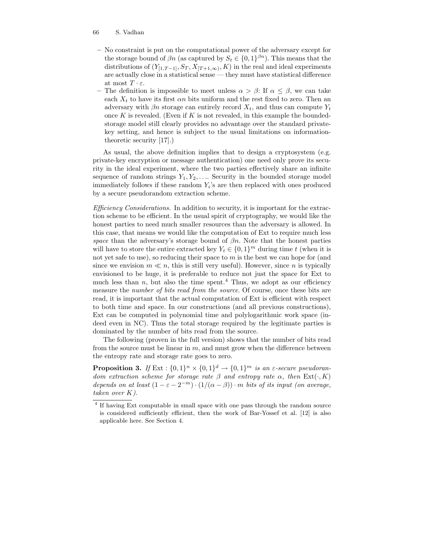- No constraint is put on the computational power of the adversary except for the storage bound of  $\beta n$  (as captured by  $S_t \in \{0,1\}^{\beta n}$ ). This means that the distributions of  $(Y_{[1,T-1]}, S_T, X_{[T+1,\infty)}, K)$  in the real and ideal experiments are actually close in a statistical sense — they must have statistical difference at most  $T \cdot \varepsilon$ .
- The definition is impossible to meet unless  $\alpha > \beta$ : If  $\alpha \leq \beta$ , we can take each  $X_t$  to have its first  $\alpha n$  bits uniform and the rest fixed to zero. Then an adversary with  $\beta n$  storage can entirely record  $X_t$ , and thus can compute  $Y_t$ once K is revealed. (Even if K is not revealed, in this example the boundedstorage model still clearly provides no advantage over the standard privatekey setting, and hence is subject to the usual limitations on informationtheoretic security [17].)

As usual, the above definition implies that to design a cryptosystem (e.g. private-key encryption or message authentication) one need only prove its security in the ideal experiment, where the two parties effectively share an infinite sequence of random strings  $Y_1, Y_2, \ldots$  Security in the bounded storage model immediately follows if these random  $Y_i$ 's are then replaced with ones produced by a secure pseudorandom extraction scheme.

Efficiency Considerations. In addition to security, it is important for the extraction scheme to be efficient. In the usual spirit of cryptography, we would like the honest parties to need much smaller resources than the adversary is allowed. In this case, that means we would like the computation of Ext to require much less space than the adversary's storage bound of  $\beta n$ . Note that the honest parties will have to store the entire extracted key  $Y_t \in \{0,1\}^m$  during time t (when it is not yet safe to use), so reducing their space to  $m$  is the best we can hope for (and since we envision  $m \ll n$ , this is still very useful). However, since n is typically envisioned to be huge, it is preferable to reduce not just the space for Ext to much less than n, but also the time spent.<sup>4</sup> Thus, we adopt as our efficiency measure the *number of bits read from the source*. Of course, once these bits are read, it is important that the actual computation of Ext is efficient with respect to both time and space. In our constructions (and all previous constructions), Ext can be computed in polynomial time and polylogarithmic work space (indeed even in NC). Thus the total storage required by the legitimate parties is dominated by the number of bits read from the source.

The following (proven in the full version) shows that the number of bits read from the source must be linear in  $m$ , and must grow when the difference between the entropy rate and storage rate goes to zero.

**Proposition 3.** If Ext :  $\{0,1\}^n \times \{0,1\}^d \rightarrow \{0,1\}^m$  is an  $\varepsilon$ -secure pseudorandom extraction scheme for storage rate  $\beta$  and entropy rate  $\alpha$ , then  $\text{Ext}(\cdot, K)$ depends on at least  $(1 - \varepsilon - 2^{-m}) \cdot (1/(\alpha - \beta)) \cdot m$  bits of its input (on average, taken over K).

<sup>&</sup>lt;sup>4</sup> If having Ext computable in small space with one pass through the random source is considered sufficiently efficient, then the work of Bar-Yossef et al. [12] is also applicable here. See Section 4.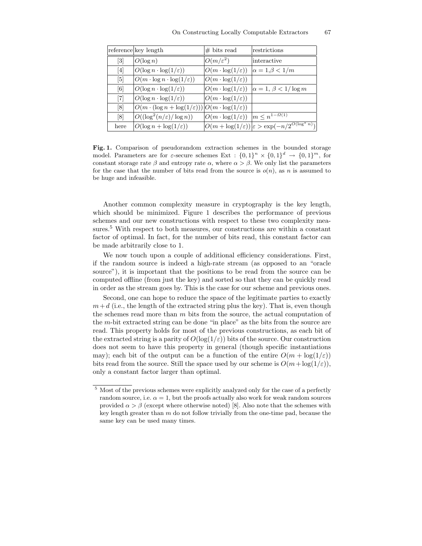|                                   | reference key length                                                        | $# \; \text{bits read}$                                      | restrictions                                                           |
|-----------------------------------|-----------------------------------------------------------------------------|--------------------------------------------------------------|------------------------------------------------------------------------|
| [3]                               | $O(\log n)$                                                                 | $O(m/\varepsilon^2)$                                         | interactive                                                            |
| [4]                               | $O(\log n \cdot \log(1/\varepsilon))$                                       | $O(m \cdot \log(1/\varepsilon))$                             | $\alpha = 1, \beta < 1/m$                                              |
| [5]                               | $O(m \cdot \log n \cdot \log(1/\varepsilon))$                               | $O(m \cdot \log(1/\varepsilon))$                             |                                                                        |
| $\lceil 6 \rceil$                 | $O(\log n \cdot \log(1/\varepsilon))$                                       |                                                              | $O(m \cdot \log(1/\varepsilon)) \mid \alpha = 1, \beta < 1/\log m$     |
| $\begin{bmatrix} 7 \end{bmatrix}$ | $O(\log n \cdot \log(1/\varepsilon))$                                       | $O(m \cdot \log(1/\varepsilon))$                             |                                                                        |
| [8]                               | $O(m \cdot (\log n + \log(1/\varepsilon))) O(m \cdot \log(1/\varepsilon)) $ |                                                              |                                                                        |
| [8]                               | $O((\log^2(n/\varepsilon)/\log n))$                                         | $O(m \cdot \log(1/\varepsilon)) \mid m \leq n^{1-\Omega(1)}$ |                                                                        |
| here                              | $O(\log n + \log(1/\varepsilon))$                                           |                                                              | $ O(m + \log(1/\varepsilon))  \varepsilon > \exp(-n/2^{O(\log^* n)}) $ |

Fig. 1. Comparison of pseudorandom extraction schemes in the bounded storage model. Parameters are for  $\varepsilon$ -secure schemes Ext :  $\{0,1\}^n \times \{0,1\}^d \to \{0,1\}^m$ , for constant storage rate  $\beta$  and entropy rate  $\alpha$ , where  $\alpha > \beta$ . We only list the parameters for the case that the number of bits read from the source is  $o(n)$ , as n is assumed to be huge and infeasible.

Another common complexity measure in cryptography is the key length, which should be minimized. Figure 1 describes the performance of previous schemes and our new constructions with respect to these two complexity measures.<sup>5</sup> With respect to both measures, our constructions are within a constant factor of optimal. In fact, for the number of bits read, this constant factor can be made arbitrarily close to 1.

We now touch upon a couple of additional efficiency considerations. First, if the random source is indeed a high-rate stream (as opposed to an "oracle source"), it is important that the positions to be read from the source can be computed offline (from just the key) and sorted so that they can be quickly read in order as the stream goes by. This is the case for our scheme and previous ones.

Second, one can hope to reduce the space of the legitimate parties to exactly  $m+d$  (i.e., the length of the extracted string plus the key). That is, even though the schemes read more than  $m$  bits from the source, the actual computation of the m-bit extracted string can be done "in place" as the bits from the source are read. This property holds for most of the previous constructions, as each bit of the extracted string is a parity of  $O(\log(1/\varepsilon))$  bits of the source. Our construction does not seem to have this property in general (though specific instantiations may); each bit of the output can be a function of the entire  $O(m + \log(1/\varepsilon))$ bits read from the source. Still the space used by our scheme is  $O(m + \log(1/\varepsilon))$ , only a constant factor larger than optimal.

 $^5$  Most of the previous schemes were explicitly analyzed only for the case of a perfectly random source, i.e.  $\alpha = 1$ , but the proofs actually also work for weak random sources provided  $\alpha > \beta$  (except where otherwise noted) [8]. Also note that the schemes with key length greater than  $m$  do not follow trivially from the one-time pad, because the same key can be used many times.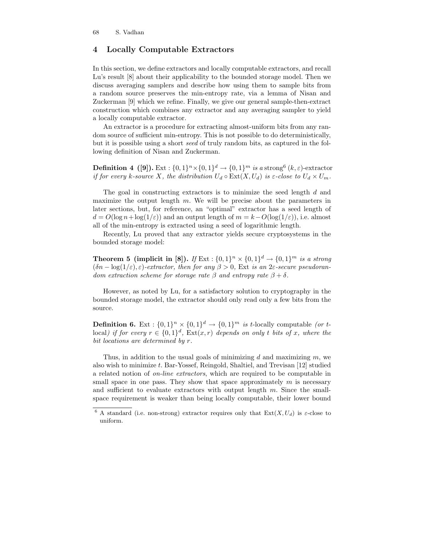# 4 Locally Computable Extractors

In this section, we define extractors and locally computable extractors, and recall Lu's result [8] about their applicability to the bounded storage model. Then we discuss averaging samplers and describe how using them to sample bits from a random source preserves the min-entropy rate, via a lemma of Nisan and Zuckerman [9] which we refine. Finally, we give our general sample-then-extract construction which combines any extractor and any averaging sampler to yield a locally computable extractor.

An extractor is a procedure for extracting almost-uniform bits from any random source of sufficient min-entropy. This is not possible to do deterministically, but it is possible using a short seed of truly random bits, as captured in the following definition of Nisan and Zuckerman.

**Definition 4** ([9]). Ext :  $\{0,1\}^n \times \{0,1\}^d \to \{0,1\}^m$  is a strong  $(k, \varepsilon)$ -extractor if for every k-source X, the distribution  $U_d \circ \text{Ext}(X, U_d)$  is  $\varepsilon$ -close to  $U_d \times U_m$ .

The goal in constructing extractors is to minimize the seed length d and maximize the output length  $m$ . We will be precise about the parameters in later sections, but, for reference, an "optimal" extractor has a seed length of  $d = O(\log n + \log(1/\varepsilon))$  and an output length of  $m = k - O(\log(1/\varepsilon))$ , i.e. almost all of the min-entropy is extracted using a seed of logarithmic length.

Recently, Lu proved that any extractor yields secure cryptosystems in the bounded storage model:

**Theorem 5 (implicit in [8]).** If Ext :  $\{0,1\}^n \times \{0,1\}^d \rightarrow \{0,1\}^m$  is a strong  $(\delta n - \log(1/\varepsilon), \varepsilon)$ -extractor, then for any  $\beta > 0$ , Ext is an 2 $\varepsilon$ -secure pseudorandom extraction scheme for storage rate  $\beta$  and entropy rate  $\beta + \delta$ .

However, as noted by Lu, for a satisfactory solution to cryptography in the bounded storage model, the extractor should only read only a few bits from the source.

**Definition 6.** Ext :  $\{0,1\}^n \times \{0,1\}^d \rightarrow \{0,1\}^m$  is t-locally computable (or tlocal) if for every  $r \in \{0,1\}^d$ ,  $\text{Ext}(x,r)$  depends on only t bits of x, where the bit locations are determined by r.

Thus, in addition to the usual goals of minimizing d and maximizing  $m$ , we also wish to minimize t. Bar-Yossef, Reingold, Shaltiel, and Trevisan [12] studied a related notion of on-line extractors, which are required to be computable in small space in one pass. They show that space approximately  $m$  is necessary and sufficient to evaluate extractors with output length  $m$ . Since the smallspace requirement is weaker than being locally computable, their lower bound

<sup>&</sup>lt;sup>6</sup> A standard (i.e. non-strong) extractor requires only that  $Ext(X, U_d)$  is  $\varepsilon$ -close to uniform.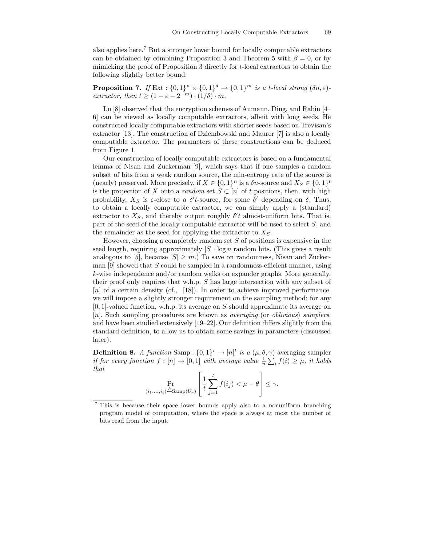also applies here.<sup>7</sup> But a stronger lower bound for locally computable extractors can be obtained by combining Proposition 3 and Theorem 5 with  $\beta = 0$ , or by mimicking the proof of Proposition 3 directly for t-local extractors to obtain the following slightly better bound:

**Proposition 7.** If  $Ext : \{0,1\}^n \times \{0,1\}^d \rightarrow \{0,1\}^m$  is a t-local strong  $(\delta n, \varepsilon)$ extractor, then  $t \geq (1 - \varepsilon - 2^{-m}) \cdot (1/\delta) \cdot m$ .

Lu [8] observed that the encryption schemes of Aumann, Ding, and Rabin [4– 6] can be viewed as locally computable extractors, albeit with long seeds. He constructed locally computable extractors with shorter seeds based on Trevisan's extractor [13]. The construction of Dziembowski and Maurer [7] is also a locally computable extractor. The parameters of these constructions can be deduced from Figure 1.

Our construction of locally computable extractors is based on a fundamental lemma of Nisan and Zuckerman [9], which says that if one samples a random subset of bits from a weak random source, the min-entropy rate of the source is (nearly) preserved. More precisely, if  $X \in \{0,1\}^n$  is a  $\delta n$ -source and  $X_S \in \{0,1\}^t$ is the projection of X onto a *random* set  $S \subset [n]$  of t positions, then, with high probability,  $X_S$  is  $\varepsilon$ -close to a  $\delta'$ t-source, for some  $\delta'$  depending on  $\delta$ . Thus, to obtain a locally computable extractor, we can simply apply a (standard) extractor to  $X<sub>S</sub>$ , and thereby output roughly  $\delta' t$  almost-uniform bits. That is, part of the seed of the locally computable extractor will be used to select S, and the remainder as the seed for applying the extractor to  $X<sub>S</sub>$ .

However, choosing a completely random set  $S$  of positions is expensive in the seed length, requiring approximately  $|S| \cdot \log n$  random bits. (This gives a result analogous to [5], because  $|S| \geq m$ .) To save on randomness, Nisan and Zuckerman  $[9]$  showed that S could be sampled in a randomness-efficient manner, using k-wise independence and/or random walks on expander graphs. More generally, their proof only requires that w.h.p. S has large intersection with any subset of  $[n]$  of a certain density (cf., [18]). In order to achieve improved performance, we will impose a slightly stronger requirement on the sampling method: for any  $[0, 1]$ -valued function, w.h.p. its average on S should approximate its average on [n]. Such sampling procedures are known as averaging (or oblivious) samplers, and have been studied extensively [19–22]. Our definition differs slightly from the standard definition, to allow us to obtain some savings in parameters (discussed later).

**Definition 8.** A function Samp :  $\{0,1\}^r \rightarrow [n]^t$  is a  $(\mu, \theta, \gamma)$  averaging sampler if for every function  $f : [n] \to [0,1]$  with average value  $\frac{1}{n} \sum_i f(i) \ge \mu$ , it holds that

$$
\Pr_{(i_1,\ldots,i_t)\stackrel{R}{\leftarrow}\text{Samp}(U_r)}\left[\frac{1}{t}\sum_{j=1}^t f(i_j) < \mu - \theta\right] \le \gamma.
$$

<sup>7</sup> This is because their space lower bounds apply also to a nonuniform branching program model of computation, where the space is always at most the number of bits read from the input.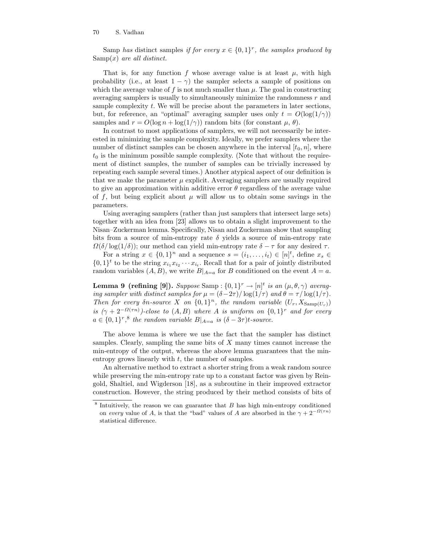Samp has distinct samples if for every  $x \in \{0,1\}^r$ , the samples produced by  $Samp(x)$  are all distinct.

That is, for any function f whose average value is at least  $\mu$ , with high probability (i.e., at least  $1 - \gamma$ ) the sampler selects a sample of positions on which the average value of f is not much smaller than  $\mu$ . The goal in constructing averaging samplers is usually to simultaneously minimize the randomness  $r$  and sample complexity  $t$ . We will be precise about the parameters in later sections, but, for reference, an "optimal" averaging sampler uses only  $t = O(\log(1/\gamma))$ samples and  $r = O(\log n + \log(1/\gamma))$  random bits (for constant  $\mu$ ,  $\theta$ ).

In contrast to most applications of samplers, we will not necessarily be interested in minimizing the sample complexity. Ideally, we prefer samplers where the number of distinct samples can be chosen anywhere in the interval  $[t_0, n]$ , where  $t_0$  is the minimum possible sample complexity. (Note that without the requirement of distinct samples, the number of samples can be trivially increased by repeating each sample several times.) Another atypical aspect of our definition is that we make the parameter  $\mu$  explicit. Averaging samplers are usually required to give an approximation within additive error  $\theta$  regardless of the average value of f, but being explicit about  $\mu$  will allow us to obtain some savings in the parameters.

Using averaging samplers (rather than just samplers that intersect large sets) together with an idea from [23] allows us to obtain a slight improvement to the Nisan–Zuckerman lemma. Specifically, Nisan and Zuckerman show that sampling bits from a source of min-entropy rate  $\delta$  yields a source of min-entropy rate  $\Omega(\delta/\log(1/\delta))$ ; our method can yield min-entropy rate  $\delta - \tau$  for any desired  $\tau$ .

For a string  $x \in \{0,1\}^n$  and a sequence  $s = (i_1, \ldots, i_t) \in [n]^t$ , define  $x_s \in$  $\{0, 1\}^t$  to be the string  $x_{i_1} x_{i_2} \cdots x_{i_t}$ . Recall that for a pair of jointly distributed random variables  $(A, B)$ , we write  $B|_{A=a}$  for B conditioned on the event  $A = a$ .

**Lemma 9 (refining [9]).** Suppose Samp :  $\{0,1\}^r \rightarrow [n]^t$  is an  $(\mu,\theta,\gamma)$  averaging sampler with distinct samples for  $\mu = (\delta - 2\tau)/\log(1/\tau)$  and  $\theta = \tau/\log(1/\tau)$ . Then for every  $\delta n$ -source X on  $\{0,1\}^n$ , the random variable  $(U_r, X_{\text{Samp}(U_r)})$ is  $(\gamma + 2^{-\Omega(\tau n)})$ -close to  $(A, B)$  where A is uniform on  $\{0, 1\}^r$  and for every  $a \in \{0,1\}^r$ ,<sup>8</sup> the random variable  $B|_{A=a}$  is  $(\delta - 3\tau)t$ -source.

The above lemma is where we use the fact that the sampler has distinct samples. Clearly, sampling the same bits of  $X$  many times cannot increase the min-entropy of the output, whereas the above lemma guarantees that the minentropy grows linearly with  $t$ , the number of samples.

An alternative method to extract a shorter string from a weak random source while preserving the min-entropy rate up to a constant factor was given by Reingold, Shaltiel, and Wigderson [18], as a subroutine in their improved extractor construction. However, the string produced by their method consists of bits of

<sup>&</sup>lt;sup>8</sup> Intuitively, the reason we can guarantee that B has high min-entropy conditioned on every value of A, is that the "bad" values of A are absorbed in the  $\gamma + 2^{-\Omega(\tau n)}$ statistical difference.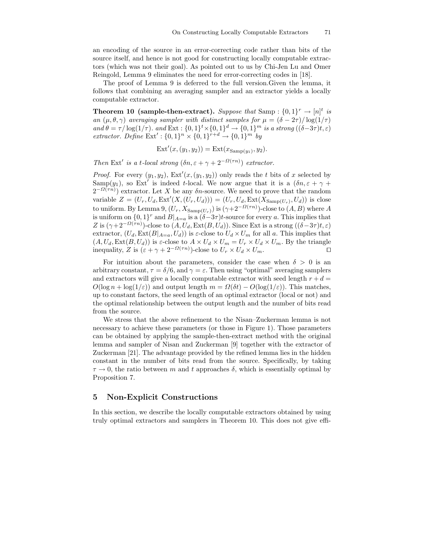an encoding of the source in an error-correcting code rather than bits of the source itself, and hence is not good for constructing locally computable extractors (which was not their goal). As pointed out to us by Chi-Jen Lu and Omer Reingold, Lemma 9 eliminates the need for error-correcting codes in [18].

The proof of Lemma 9 is deferred to the full version.Given the lemma, it follows that combining an averaging sampler and an extractor yields a locally computable extractor.

**Theorem 10 (sample-then-extract).** Suppose that Samp :  $\{0,1\}^r \rightarrow [n]^t$  is an  $(\mu, \theta, \gamma)$  averaging sampler with distinct samples for  $\mu = (\delta - 2\tau)/\log(1/\tau)$ and  $\theta = \tau / \log(1/\tau)$ . and Ext :  $\{0,1\}^t \times \{0,1\}^d \to \{0,1\}^m$  is a strong  $((\delta - 3\tau)t, \varepsilon)$ extractor. Define  $\text{Ext}' : \{0, 1\}^n \times \{0, 1\}^{r+d} \to \{0, 1\}^m$  by

 $Ext'(x, (y_1, y_2)) = Ext(x_{Samp(y_1)}, y_2).$ 

Then Ext' is a t-local strong  $(\delta n, \varepsilon + \gamma + 2^{-\Omega(\tau n)})$  extractor.

*Proof.* For every  $(y_1, y_2)$ ,  $\text{Ext}'(x, (y_1, y_2))$  only reads the t bits of x selected by Samp $(y_1)$ , so Ext<sup>'</sup> is indeed t-local. We now argue that it is a  $(\delta n, \varepsilon + \gamma +$  $(2^{-\Omega(\tau n)})$  extractor. Let X be any  $\delta n$ -source. We need to prove that the random variable  $Z = (U_r, U_d, \text{Ext}'(X, (U_r, U_d))) = (U_r, U_d, \text{Ext}(X_{\text{Samp}(U_r)}, U_d))$  is close to uniform. By Lemma 9,  $(U_r, X_{\mathrm{Samp}(U_r)})$  is  $(\gamma + 2^{-\Omega(\tau n)})$ -close to  $(A, B)$  where A is uniform on  $\{0,1\}^r$  and  $B|_{A=a}$  is a  $(\delta-3\tau)t$ -source for every a. This implies that Z is  $(\gamma + 2^{-\Omega(\tau n)})$ -close to  $(A, U_d, Ext(B, U_d))$ . Since Ext is a strong  $((\delta - 3\tau)t, \varepsilon)$ extractor,  $(U_d, Ext(B|_{A=a}, U_d))$  is  $\varepsilon$ -close to  $U_d \times U_m$  for all a. This implies that  $(A, U_d, Ext(B, U_d))$  is  $\varepsilon$ -close to  $A \times U_d \times U_m = U_r \times U_d \times U_m$ . By the triangle inequality, Z is  $(\varepsilon + \gamma + 2^{-\Omega(rn)})$ -close to  $U_r \times U_d \times U_m$ . inequality, Z is  $(\varepsilon + \gamma + 2^{-\Omega(\tau n)})$ -close to  $U_r \times U_d \times U_m$ .

For intuition about the parameters, consider the case when  $\delta > 0$  is an arbitrary constant,  $\tau = \delta/6$ , and  $\gamma = \varepsilon$ . Then using "optimal" averaging samplers and extractors will give a locally computable extractor with seed length  $r + d =$  $O(\log n + \log(1/\varepsilon))$  and output length  $m = \Omega(\delta t) - O(\log(1/\varepsilon))$ . This matches, up to constant factors, the seed length of an optimal extractor (local or not) and the optimal relationship between the output length and the number of bits read from the source.

We stress that the above refinement to the Nisan–Zuckerman lemma is not necessary to achieve these parameters (or those in Figure 1). Those parameters can be obtained by applying the sample-then-extract method with the original lemma and sampler of Nisan and Zuckerman [9] together with the extractor of Zuckerman [21]. The advantage provided by the refined lemma lies in the hidden constant in the number of bits read from the source. Specifically, by taking  $\tau \to 0$ , the ratio between m and t approaches  $\delta$ , which is essentially optimal by Proposition 7.

# 5 Non-Explicit Constructions

In this section, we describe the locally computable extractors obtained by using truly optimal extractors and samplers in Theorem 10. This does not give effi-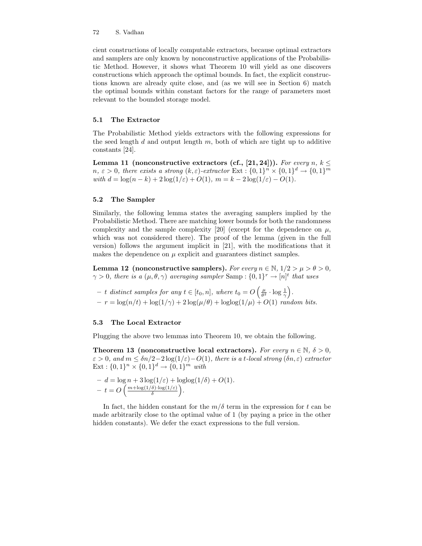cient constructions of locally computable extractors, because optimal extractors and samplers are only known by nonconstructive applications of the Probabilistic Method. However, it shows what Theorem 10 will yield as one discovers constructions which approach the optimal bounds. In fact, the explicit constructions known are already quite close, and (as we will see in Section 6) match the optimal bounds within constant factors for the range of parameters most relevant to the bounded storage model.

## 5.1 The Extractor

The Probabilistic Method yields extractors with the following expressions for the seed length d and output length  $m$ , both of which are tight up to additive constants [24].

Lemma 11 (nonconstructive extractors (cf., [21, 24])). For every n,  $k \leq$  $n, \varepsilon > 0$ , there exists a strong  $(k, \varepsilon)$ -extractor Ext :  $\{0, 1\}^n \times \{0, 1\}^d \to \{0, 1\}^m$ with  $d = \log(n - k) + 2 \log(1/\varepsilon) + O(1)$ ,  $m = k - 2 \log(1/\varepsilon) - O(1)$ .

## 5.2 The Sampler

Similarly, the following lemma states the averaging samplers implied by the Probabilistic Method. There are matching lower bounds for both the randomness complexity and the sample complexity [20] (except for the dependence on  $\mu$ , which was not considered there). The proof of the lemma (given in the full version) follows the argument implicit in [21], with the modifications that it makes the dependence on  $\mu$  explicit and guarantees distinct samples.

Lemma 12 (nonconstructive samplers). For every  $n \in \mathbb{N}$ ,  $1/2 > \mu > \theta > 0$ ,  $\gamma > 0$ , there is a  $(\mu, \theta, \gamma)$  averaging sampler Samp :  $\{0, 1\}^r \rightarrow [n]^t$  that uses

- $t$  distinct samples for any  $t \in [t_0, n]$ , where  $t_0 = O\left(\frac{\mu}{\theta^2} \cdot \log \frac{1}{\gamma}\right)$ .
- $-r = \log(n/t) + \log(1/\gamma) + 2\log(\mu/\theta) + \log(\log(1/\mu) + O(1))$  random bits.

# 5.3 The Local Extractor

Plugging the above two lemmas into Theorem 10, we obtain the following.

**Theorem 13 (nonconstructive local extractors).** For every  $n \in \mathbb{N}$ ,  $\delta > 0$ ,  $\varepsilon > 0$ , and  $m \leq \delta n/2 - 2\log(1/\varepsilon) - O(1)$ , there is a t-local strong  $(\delta n, \varepsilon)$  extractor Ext :  $\{0,1\}^n \times \{0,1\}^d \rightarrow \{0,1\}^m$  with

$$
- d = \log n + 3 \log(1/\varepsilon) + \log \log(1/\delta) + O(1).
$$
  
- 
$$
t = O\left(\frac{m + \log(1/\delta) \cdot \log(1/\varepsilon)}{\delta}\right).
$$

In fact, the hidden constant for the  $m/\delta$  term in the expression for t can be made arbitrarily close to the optimal value of 1 (by paying a price in the other hidden constants). We defer the exact expressions to the full version.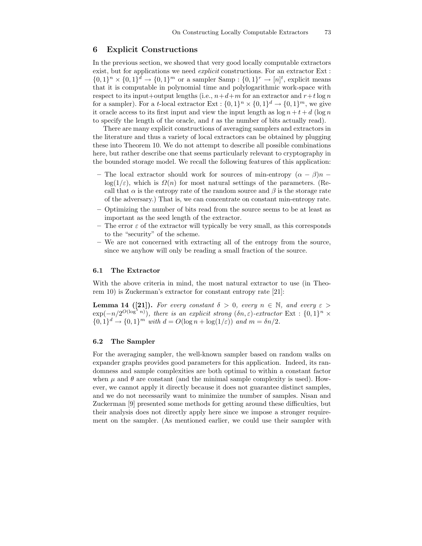# 6 Explicit Constructions

In the previous section, we showed that very good locally computable extractors exist, but for applications we need explicit constructions. For an extractor Ext :  $\{0,1\}^n \times \{0,1\}^d \to \{0,1\}^m$  or a sampler Samp :  $\{0,1\}^r \to [n]^t$ , explicit means that it is computable in polynomial time and polylogarithmic work-space with respect to its input+output lengths (i.e.,  $n+d+m$  for an extractor and  $r+t\log n$ for a sampler). For a *t*-local extractor Ext :  $\{0,1\}^n \times \{0,1\}^d \to \{0,1\}^m$ , we give it oracle access to its first input and view the input length as  $\log n + t + d$  (log n to specify the length of the oracle, and  $t$  as the number of bits actually read).

There are many explicit constructions of averaging samplers and extractors in the literature and thus a variety of local extractors can be obtained by plugging these into Theorem 10. We do not attempt to describe all possible combinations here, but rather describe one that seems particularly relevant to cryptography in the bounded storage model. We recall the following features of this application:

- The local extractor should work for sources of min-entropy  $(\alpha \beta)n$  $log(1/\varepsilon)$ , which is  $\Omega(n)$  for most natural settings of the parameters. (Recall that  $\alpha$  is the entropy rate of the random source and  $\beta$  is the storage rate of the adversary.) That is, we can concentrate on constant min-entropy rate.
- Optimizing the number of bits read from the source seems to be at least as important as the seed length of the extractor.
- The error  $\varepsilon$  of the extractor will typically be very small, as this corresponds to the "security" of the scheme.
- We are not concerned with extracting all of the entropy from the source, since we anyhow will only be reading a small fraction of the source.

## 6.1 The Extractor

With the above criteria in mind, the most natural extractor to use (in Theorem 10) is Zuckerman's extractor for constant entropy rate [21]:

**Lemma 14 ([21]).** For every constant  $\delta > 0$ , every  $n \in \mathbb{N}$ , and every  $\varepsilon >$  $\exp(-n/2^{O(\log^* n)})$ , there is an explicit strong  $(\delta n, \varepsilon)$ -extractor Ext :  $\{0, 1\}^n \times$  $\{0,1\}^d \rightarrow \{0,1\}^m$  with  $d = O(\log n + \log(1/\varepsilon))$  and  $m = \delta n/2$ .

## 6.2 The Sampler

For the averaging sampler, the well-known sampler based on random walks on expander graphs provides good parameters for this application. Indeed, its randomness and sample complexities are both optimal to within a constant factor when  $\mu$  and  $\theta$  are constant (and the minimal sample complexity is used). However, we cannot apply it directly because it does not guarantee distinct samples, and we do not necessarily want to minimize the number of samples. Nisan and Zuckerman [9] presented some methods for getting around these difficulties, but their analysis does not directly apply here since we impose a stronger requirement on the sampler. (As mentioned earlier, we could use their sampler with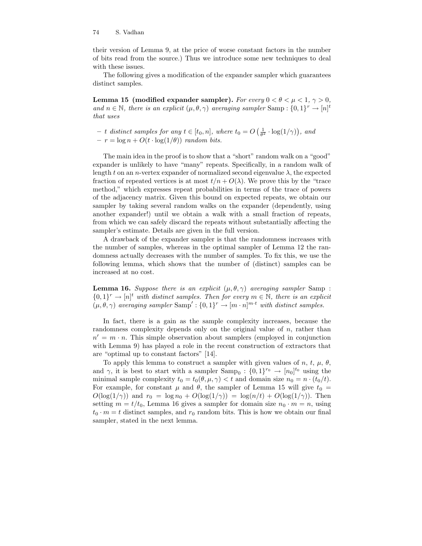their version of Lemma 9, at the price of worse constant factors in the number of bits read from the source.) Thus we introduce some new techniques to deal with these issues.

The following gives a modification of the expander sampler which guarantees distinct samples.

Lemma 15 (modified expander sampler). For every  $0 < \theta < \mu < 1$ ,  $\gamma > 0$ , and  $n \in \mathbb{N}$ , there is an explicit  $(\mu, \theta, \gamma)$  averaging sampler  $\text{Samp}: \{0, 1\}^r \to [n]^t$ that uses

 $-t$  distinct samples for any  $t \in [t_0, n]$ , where  $t_0 = O\left(\frac{1}{\theta^2} \cdot \log(1/\gamma)\right)$ , and  $-r = \log n + O(t \cdot \log(1/\theta))$  random bits.

The main idea in the proof is to show that a "short" random walk on a "good" expander is unlikely to have "many" repeats. Specifically, in a random walk of length t on an n-vertex expander of normalized second eigenvalue  $\lambda$ , the expected fraction of repeated vertices is at most  $t/n + O(\lambda)$ . We prove this by the "trace method," which expresses repeat probabilities in terms of the trace of powers of the adjacency matrix. Given this bound on expected repeats, we obtain our sampler by taking several random walks on the expander (dependently, using another expander!) until we obtain a walk with a small fraction of repeats, from which we can safely discard the repeats without substantially affecting the sampler's estimate. Details are given in the full version.

A drawback of the expander sampler is that the randomness increases with the number of samples, whereas in the optimal sampler of Lemma 12 the randomness actually decreases with the number of samples. To fix this, we use the following lemma, which shows that the number of (distinct) samples can be increased at no cost.

**Lemma 16.** Suppose there is an explicit  $(\mu, \theta, \gamma)$  averaging sampler Samp :  ${0,1}^r \rightarrow [n]^t$  with distinct samples. Then for every  $m \in \mathbb{N}$ , there is an explicit  $(\mu, \theta, \gamma)$  averaging sampler Samp':  $\{0, 1\}^r \to [m \cdot n]^{m \cdot t}$  with distinct samples.

In fact, there is a gain as the sample complexity increases, because the randomness complexity depends only on the original value of  $n$ , rather than  $n' = m \cdot n$ . This simple observation about samplers (employed in conjunction with Lemma 9) has played a role in the recent construction of extractors that are "optimal up to constant factors" [14].

To apply this lemma to construct a sampler with given values of n, t,  $\mu$ ,  $\theta$ , and  $\gamma$ , it is best to start with a sampler Samp<sub>0</sub>:  $\{0,1\}^{r_0} \to [n_0]^{t_0}$  using the minimal sample complexity  $t_0 = t_0(\theta, \mu, \gamma) < t$  and domain size  $n_0 = n \cdot (t_0/t)$ . For example, for constant  $\mu$  and  $\theta$ , the sampler of Lemma 15 will give  $t_0 =$  $O(\log(1/\gamma))$  and  $r_0 = \log n_0 + O(\log(1/\gamma)) = \log(n/t) + O(\log(1/\gamma))$ . Then setting  $m = t/t_0$ , Lemma 16 gives a sampler for domain size  $n_0 \cdot m = n$ , using  $t_0 \cdot m = t$  distinct samples, and  $r_0$  random bits. This is how we obtain our final sampler, stated in the next lemma.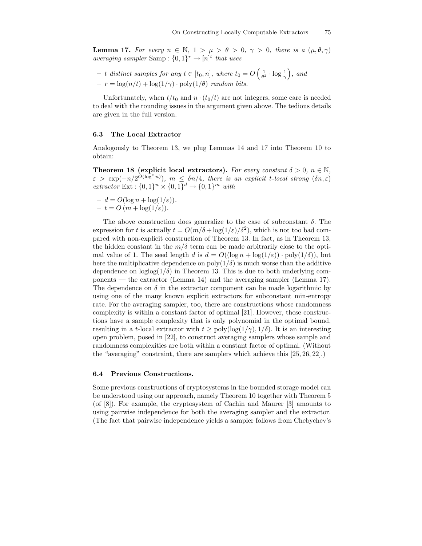**Lemma 17.** For every  $n \in \mathbb{N}$ ,  $1 > \mu > \theta > 0$ ,  $\gamma > 0$ , there is a  $(\mu, \theta, \gamma)$ averaging sampler Samp :  $\{0,1\}^r \rightarrow [n]^t$  that uses

- $t$  distinct samples for any  $t \in [t_0, n]$ , where  $t_0 = O\left(\frac{1}{\theta^2} \cdot \log \frac{1}{\gamma}\right)$ , and
- $r = \log(n/t) + \log(1/\gamma) \cdot \text{poly}(1/\theta)$  random bits.

Unfortunately, when  $t/t_0$  and  $n \cdot (t_0/t)$  are not integers, some care is needed to deal with the rounding issues in the argument given above. The tedious details are given in the full version.

## 6.3 The Local Extractor

Analogously to Theorem 13, we plug Lemmas 14 and 17 into Theorem 10 to obtain:

**Theorem 18 (explicit local extractors).** For every constant  $\delta > 0$ ,  $n \in \mathbb{N}$ ,  $\varepsilon > \exp(-n/2^{\tilde{O}(\log^* n)}), m \leq \delta n/4$ , there is an explicit t-local strong  $(\delta n, \varepsilon)$ extractor Ext :  $\{0,1\}^n \times \{0,1\}^d \rightarrow \{0,1\}^m$  with

 $-d = O(\log n + \log(1/\varepsilon)).$  $-t = O(m + \log(1/\varepsilon)).$ 

The above construction does generalize to the case of subconstant  $\delta$ . The expression for t is actually  $t = O(m/\delta + \log(1/\varepsilon)/\delta^2)$ , which is not too bad compared with non-explicit construction of Theorem 13. In fact, as in Theorem 13, the hidden constant in the  $m/\delta$  term can be made arbitrarily close to the optimal value of 1. The seed length d is  $d = O((\log n + \log(1/\varepsilon)) \cdot \text{poly}(1/\delta))$ , but here the multiplicative dependence on  $\text{poly}(1/\delta)$  is much worse than the additive dependence on  $\log(\frac{1}{\delta})$  in Theorem 13. This is due to both underlying components — the extractor (Lemma 14) and the averaging sampler (Lemma 17). The dependence on  $\delta$  in the extractor component can be made logarithmic by using one of the many known explicit extractors for subconstant min-entropy rate. For the averaging sampler, too, there are constructions whose randomness complexity is within a constant factor of optimal [21]. However, these constructions have a sample complexity that is only polynomial in the optimal bound, resulting in a t-local extractor with  $t > poly(log(1/\gamma), 1/\delta)$ . It is an interesting open problem, posed in [22], to construct averaging samplers whose sample and randomness complexities are both within a constant factor of optimal. (Without the "averaging" constraint, there are samplers which achieve this [25, 26, 22].)

## 6.4 Previous Constructions.

Some previous constructions of cryptosystems in the bounded storage model can be understood using our approach, namely Theorem 10 together with Theorem 5 (of [8]). For example, the cryptosystem of Cachin and Maurer [3] amounts to using pairwise independence for both the averaging sampler and the extractor. (The fact that pairwise independence yields a sampler follows from Chebychev's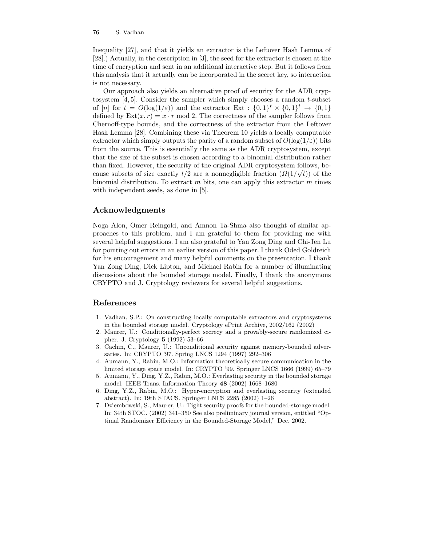Inequality [27], and that it yields an extractor is the Leftover Hash Lemma of [28].) Actually, in the description in [3], the seed for the extractor is chosen at the time of encryption and sent in an additional interactive step. But it follows from this analysis that it actually can be incorporated in the secret key, so interaction is not necessary.

Our approach also yields an alternative proof of security for the ADR crypto to system  $[4, 5]$ . Consider the sampler which simply chooses a random t-subset of [n] for  $t = O(\log(1/\varepsilon))$  and the extractor Ext :  $\{0,1\}^t \times \{0,1\}^t \to \{0,1\}$ defined by  $\text{Ext}(x, r) = x \cdot r \mod 2$ . The correctness of the sampler follows from Chernoff-type bounds, and the correctness of the extractor from the Leftover Hash Lemma [28]. Combining these via Theorem 10 yields a locally computable extractor which simply outputs the parity of a random subset of  $O(\log(1/\varepsilon))$  bits from the source. This is essentially the same as the ADR cryptosystem, except that the size of the subset is chosen according to a binomial distribution rather than fixed. However, the security of the original ADR cryptosystem follows, because subsets of size exactly  $t/2$  are a nonnegligible fraction  $(\Omega(1/\sqrt{t}))$  of the binomial distribution. To extract  $m$  bits, one can apply this extractor  $m$  times with independent seeds, as done in [5].

# Acknowledgments

Noga Alon, Omer Reingold, and Amnon Ta-Shma also thought of similar approaches to this problem, and I am grateful to them for providing me with several helpful suggestions. I am also grateful to Yan Zong Ding and Chi-Jen Lu for pointing out errors in an earlier version of this paper. I thank Oded Goldreich for his encouragement and many helpful comments on the presentation. I thank Yan Zong Ding, Dick Lipton, and Michael Rabin for a number of illuminating discussions about the bounded storage model. Finally, I thank the anonymous CRYPTO and J. Cryptology reviewers for several helpful suggestions.

# References

- 1. Vadhan, S.P.: On constructing locally computable extractors and cryptosystems in the bounded storage model. Cryptology ePrint Archive, 2002/162 (2002)
- 2. Maurer, U.: Conditionally-perfect secrecy and a provably-secure randomized cipher. J. Cryptology 5 (1992) 53–66
- 3. Cachin, C., Maurer, U.: Unconditional security against memory-bounded adversaries. In: CRYPTO '97. Spring LNCS 1294 (1997) 292–306
- 4. Aumann, Y., Rabin, M.O.: Information theoretically secure communication in the limited storage space model. In: CRYPTO '99. Springer LNCS 1666 (1999) 65–79
- 5. Aumann, Y., Ding, Y.Z., Rabin, M.O.: Everlasting security in the bounded storage model. IEEE Trans. Information Theory 48 (2002) 1668–1680
- 6. Ding, Y.Z., Rabin, M.O.: Hyper-encryption and everlasting security (extended abstract). In: 19th STACS. Springer LNCS 2285 (2002) 1–26
- 7. Dziembowski, S., Maurer, U.: Tight security proofs for the bounded-storage model. In: 34th STOC. (2002) 341–350 See also preliminary journal version, entitled "Optimal Randomizer Efficiency in the Bounded-Storage Model," Dec. 2002.